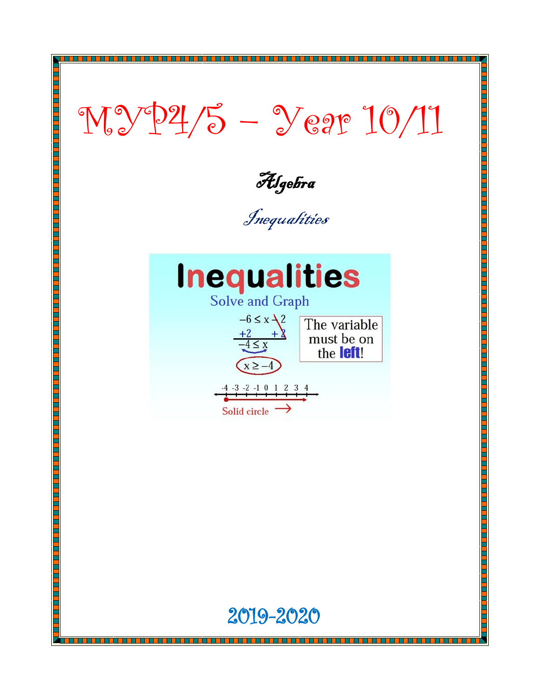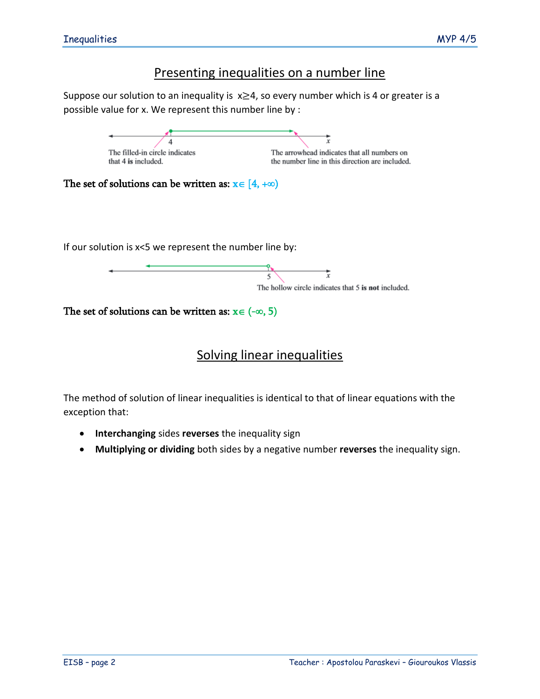## Presenting inequalities on a number line

Suppose our solution to an inequality is  $x \ge 4$ , so every number which is 4 or greater is a possible value for x. We represent this number line by :



If our solution is x<5 we represent the number line by:



The set of solutions can be written as:  $x \in (-\infty, 5)$ 

## Solving linear inequalities

The method of solution of linear inequalities is identical to that of linear equations with the exception that:

- **Interchanging** sides **reverses** the inequality sign
- **Multiplying or dividing** both sides by a negative number **reverses** the inequality sign.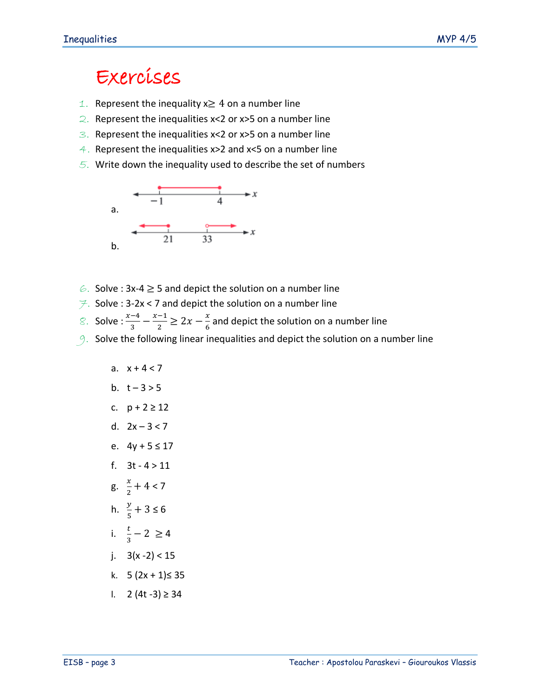## Exercises

- 1. Represent the inequality  $x \ge 4$  on a number line
- 2. Represent the inequalities  $x < 2$  or  $x > 5$  on a number line
- 3. Represent the inequalities x<2 or x>5 on a number line
- 4. Represent the inequalities  $x>2$  and  $x<5$  on a number line
- $5.$  Write down the inequality used to describe the set of numbers



- $\epsilon$ . Solve : 3x-4  $\geq$  5 and depict the solution on a number line
- $\overline{7}$ . Solve : 3-2x < 7 and depict the solution on a number line
- 8. Solve :  $\frac{x-4}{3} \frac{x-1}{2}$  $\frac{-1}{2} \geq 2x - \frac{x}{6}$  $\frac{\pi}{6}$  and depict the solution on a number line
- $9.$  Solve the following linear inequalities and depict the solution on a number line
	- a.  $x + 4 < 7$ b.  $t - 3 > 5$ c.  $p + 2 \ge 12$
	- d.  $2x 3 < 7$
	- e.  $4y + 5 ≤ 17$
	- f. 3t 4 > 11
	- g.  $\frac{x}{2}$  $\frac{x}{2}$  + 4 < 7
	- h.  $\frac{y}{5}$  + 3 ≤ 6
	- i.  $\frac{t}{3} 2 \ge 4$
	- j.  $3(x 2) < 15$
	- k. 5  $(2x + 1)$ ≤ 35
	- l. 2 (4t -3) ≥ 34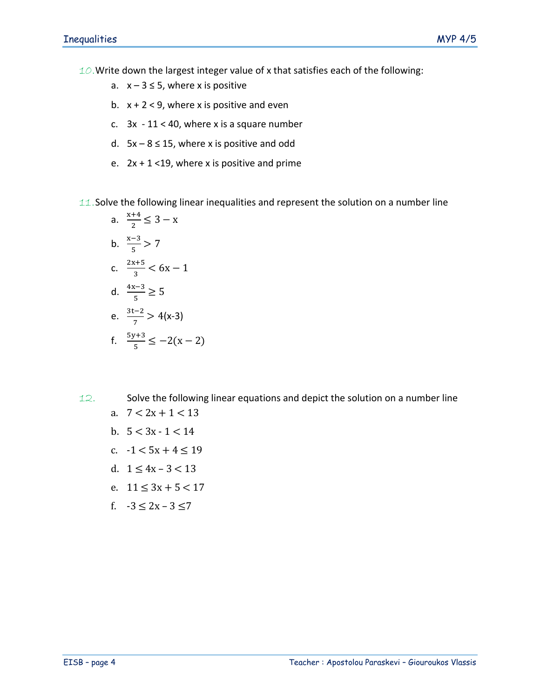$10$ . Write down the largest integer value of x that satisfies each of the following:

- a.  $x 3 \le 5$ , where x is positive
- b.  $x + 2 < 9$ , where x is positive and even
- c.  $3x 11 < 40$ , where x is a square number
- d.  $5x 8 \le 15$ , where x is positive and odd
- e.  $2x + 1 < 19$ , where x is positive and prime
- 11. Solve the following linear inequalities and represent the solution on a number line

a. 
$$
\frac{x+4}{2} \le 3 - x
$$
  
\nb. 
$$
\frac{x-3}{5} > 7
$$
  
\nc. 
$$
\frac{2x+5}{3} < 6x - 1
$$
  
\nd. 
$$
\frac{4x-3}{5} \ge 5
$$
  
\ne. 
$$
\frac{3t-2}{7} > 4(x-3)
$$
  
\nf. 
$$
\frac{5y+3}{5} \le -2(x-2)
$$

- 12. Solve the following linear equations and depict the solution on a number line a.  $7 < 2x + 1 < 13$ 
	- b.  $5 < 3x 1 < 14$
	- c.  $-1 < 5x + 4 \le 19$
	- d.  $1 \leq 4x 3 < 13$
	- e.  $11 \leq 3x + 5 < 17$
	- f.  $-3 \leq 2x 3 \leq 7$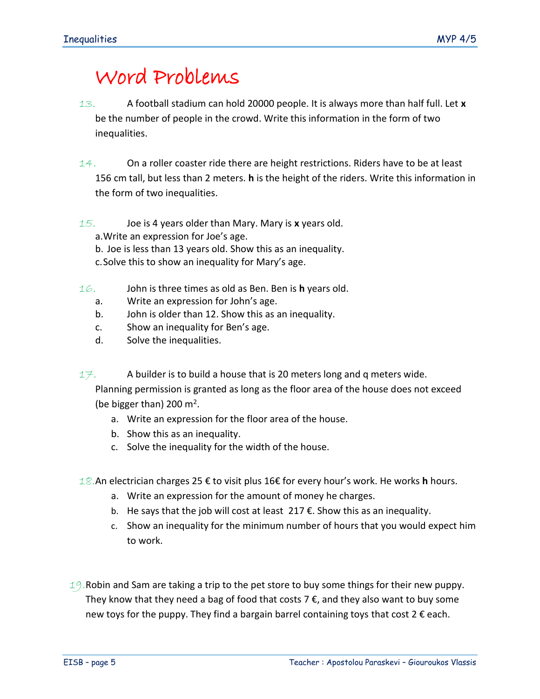## Word Problems

- 13. A football stadium can hold 20000 people. It is always more than half full. Let **x** be the number of people in the crowd. Write this information in the form of two inequalities.
- $14.$  On a roller coaster ride there are height restrictions. Riders have to be at least 156 cm tall, but less than 2 meters. **h** is the height of the riders. Write this information in the form of two inequalities.
- 15. Joe is 4 years older than Mary. Mary is **x** years old. a.Write an expression for Joe's age.
	- b. Joe is less than 13 years old. Show this as an inequality.
	- c.Solve this to show an inequality for Mary's age.
- 16. John is three times as old as Ben. Ben is **h** years old.
	- a. Write an expression for John's age.
	- b. John is older than 12. Show this as an inequality.
	- c. Show an inequality for Ben's age.
	- d. Solve the inequalities.
- $17.$  A builder is to build a house that is 20 meters long and q meters wide. Planning permission is granted as long as the floor area of the house does not exceed (be bigger than) 200  $m^2$ .
	- a. Write an expression for the floor area of the house.
	- b. Show this as an inequality.
	- c. Solve the inequality for the width of the house.
- 18.An electrician charges 25 € to visit plus 16€ for every hour's work. He works **h** hours.
	- a. Write an expression for the amount of money he charges.
	- b. He says that the job will cost at least  $217 \epsilon$ . Show this as an inequality.
	- c. Show an inequality for the minimum number of hours that you would expect him to work.
- $19$ . Robin and Sam are taking a trip to the pet store to buy some things for their new puppy. They know that they need a bag of food that costs  $7 \epsilon$ , and they also want to buy some new toys for the puppy. They find a bargain barrel containing toys that cost  $2 \epsilon$  each.